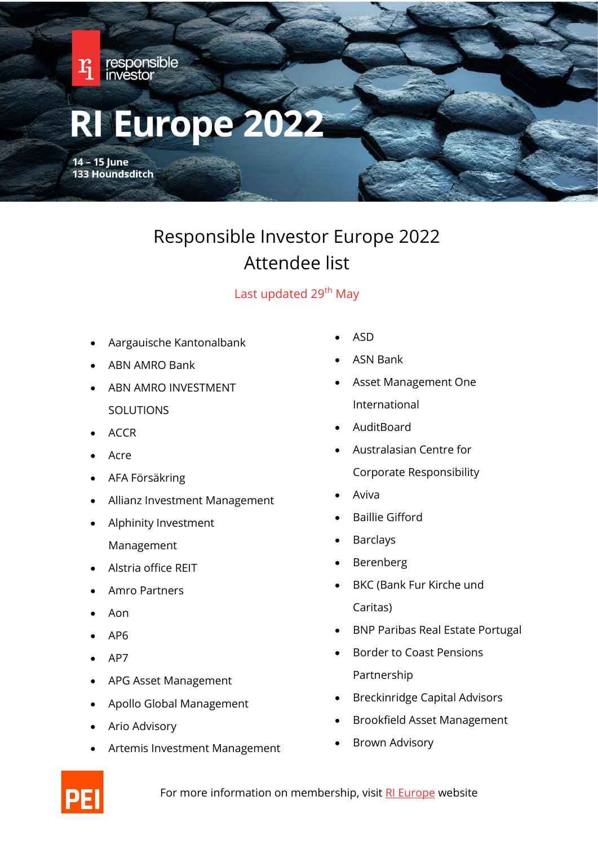

## Responsible Investor Europe 2022 Attendee list

## Last updated 29<sup>th</sup> May

- Aargauische Kantonalbank
- ABN AMRO Bank
- ABN AMRO INVESTMENT SOLUTIONS
- ACCR
- Acre
- AFA Försäkring
- Allianz Investment Management
- Alphinity Investment Management
- Alstria office REIT
- Amro Partners
- Aon
- AP6
- AP7
- APG Asset Management
- Apollo Global Management
- Ario Advisory
- Artemis Investment Management
- ASD
- ASN Bank
- Asset Management One International
- AuditBoard
- Australasian Centre for Corporate Responsibility
- Aviva
- Baillie Gifford
- **Barclays**
- **Berenberg**
- BKC (Bank Fur Kirche und Caritas)
- BNP Paribas Real Estate Portugal
- Border to Coast Pensions Partnership
- Breckinridge Capital Advisors
- Brookfield Asset Management
- Brown Advisory

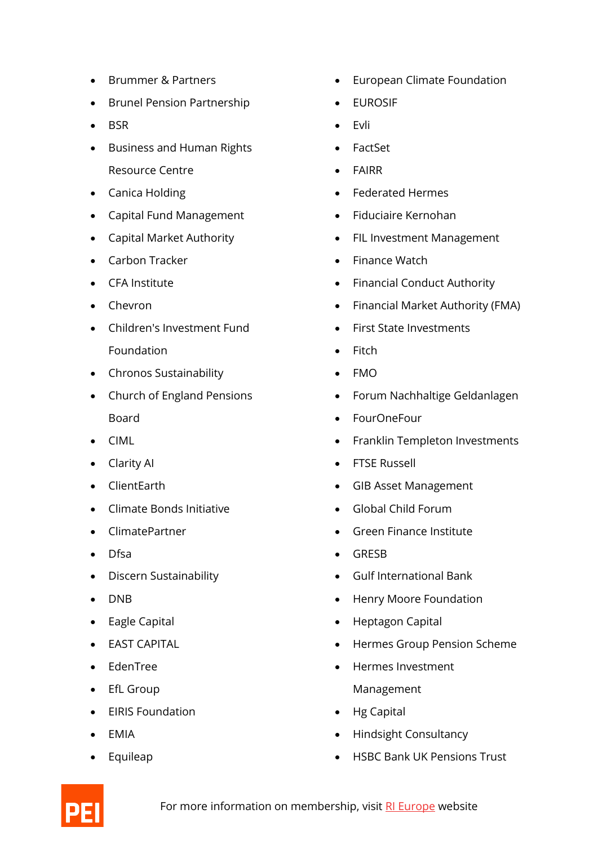- Brummer & Partners
- Brunel Pension Partnership
- BSR
- Business and Human Rights Resource Centre
- Canica Holding
- Capital Fund Management
- Capital Market Authority
- Carbon Tracker
- CFA Institute
- Chevron
- Children's Investment Fund Foundation
- Chronos Sustainability
- Church of England Pensions Board
- CIML
- Clarity AI
- ClientEarth
- Climate Bonds Initiative
- ClimatePartner
- Dfsa
- Discern Sustainability
- DNB
- Eagle Capital
- EAST CAPITAL
- EdenTree
- EfL Group
- EIRIS Foundation
- EMIA
- Equileap
- European Climate Foundation
- **EUROSIF**
- Evli
- FactSet
- **FAIRR**
- Federated Hermes
- Fiduciaire Kernohan
- FIL Investment Management
- Finance Watch
- Financial Conduct Authority
- Financial Market Authority (FMA)
- First State Investments
- Fitch
- FMO
- Forum Nachhaltige Geldanlagen
- FourOneFour
- Franklin Templeton Investments
- FTSE Russell
- GIB Asset Management
- Global Child Forum
- Green Finance Institute
- GRESB
- Gulf International Bank
- Henry Moore Foundation
- Heptagon Capital
- Hermes Group Pension Scheme
- Hermes Investment Management
- Hg Capital
- Hindsight Consultancy
- HSBC Bank UK Pensions Trust

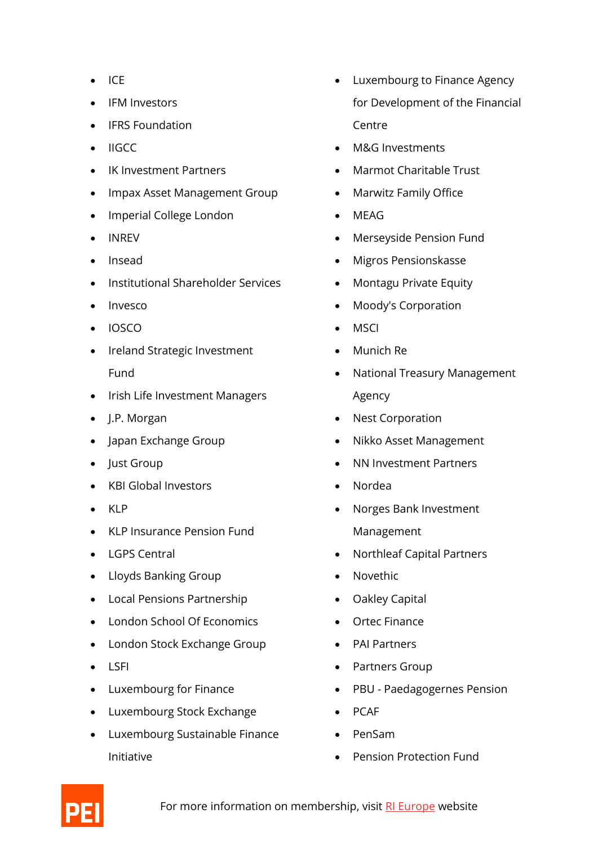- ICE
- IFM Investors
- IFRS Foundation
- IIGCC
- IK Investment Partners
- Impax Asset Management Group
- Imperial College London
- INREV
- Insead
- Institutional Shareholder Services
- Invesco
- IOSCO
- Ireland Strategic Investment Fund
- Irish Life Investment Managers
- J.P. Morgan
- Japan Exchange Group
- Just Group
- KBI Global Investors
- KLP
- KLP Insurance Pension Fund
- LGPS Central
- Lloyds Banking Group
- Local Pensions Partnership
- London School Of Economics
- London Stock Exchange Group
- LSFI
- Luxembourg for Finance
- Luxembourg Stock Exchange
- Luxembourg Sustainable Finance Initiative
- Luxembourg to Finance Agency for Development of the Financial **Centre**
- M&G Investments
- Marmot Charitable Trust
- Marwitz Family Office
- MEAG
- Merseyside Pension Fund
- Migros Pensionskasse
- Montagu Private Equity
- Moody's Corporation
- **MSCI**
- Munich Re
- National Treasury Management Agency
- Nest Corporation
- Nikko Asset Management
- NN Investment Partners
- Nordea
- Norges Bank Investment Management
- Northleaf Capital Partners
- Novethic
- Oakley Capital
- Ortec Finance
- PAI Partners
- Partners Group
- PBU Paedagogernes Pension
- PCAF
- PenSam
- Pension Protection Fund

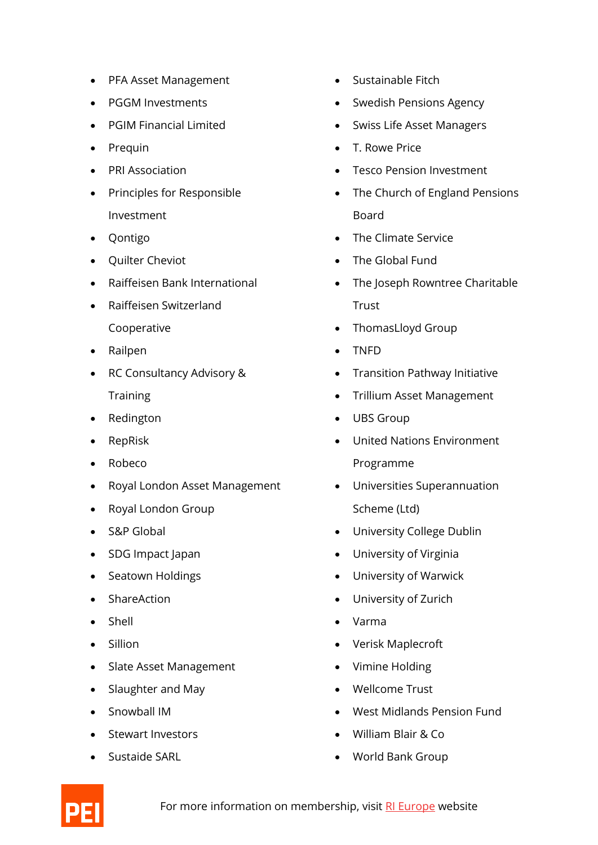- PFA Asset Management
- PGGM Investments
- PGIM Financial Limited
- Prequin
- PRI Association
- Principles for Responsible Investment
- Qontigo
- Quilter Cheviot
- Raiffeisen Bank International
- Raiffeisen Switzerland Cooperative
- Railpen
- RC Consultancy Advisory & **Training**
- Redington
- RepRisk
- Robeco
- Royal London Asset Management
- Royal London Group
- S&P Global
- SDG Impact Japan
- Seatown Holdings
- ShareAction
- Shell
- Sillion
- Slate Asset Management
- Slaughter and May
- Snowball IM
- Stewart Investors
- Sustaide SARL
- Sustainable Fitch
- Swedish Pensions Agency
- Swiss Life Asset Managers
- T. Rowe Price
- **Tesco Pension Investment**
- The Church of England Pensions Board
- The Climate Service
- The Global Fund
- The Joseph Rowntree Charitable **Trust**
- ThomasLloyd Group
- TNFD
- Transition Pathway Initiative
- Trillium Asset Management
- UBS Group
- United Nations Environment Programme
- Universities Superannuation Scheme (Ltd)
- University College Dublin
- University of Virginia
- University of Warwick
- University of Zurich
- Varma
- Verisk Maplecroft
- Vimine Holding
- Wellcome Trust
- West Midlands Pension Fund
- William Blair & Co
- World Bank Group